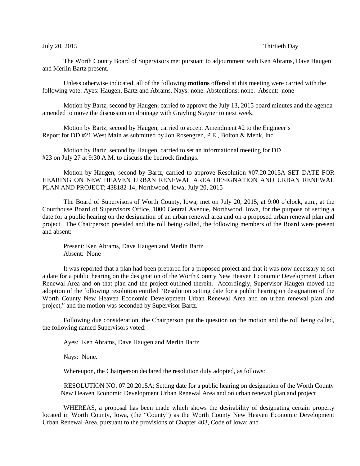## July 20, 2015 Thirtieth Day

The Worth County Board of Supervisors met pursuant to adjournment with Ken Abrams, Dave Haugen and Merlin Bartz present.

Unless otherwise indicated, all of the following **motions** offered at this meeting were carried with the following vote: Ayes: Haugen, Bartz and Abrams. Nays: none. Abstentions: none. Absent: none

Motion by Bartz, second by Haugen, carried to approve the July 13, 2015 board minutes and the agenda amended to move the discussion on drainage with Grayling Stayner to next week.

Motion by Bartz, second by Haugen, carried to accept Amendment #2 to the Engineer's Report for DD #21 West Main as submitted by Jon Rosengren, P.E., Bolton & Menk, Inc.

Motion by Bartz, second by Haugen, carried to set an informational meeting for DD #23 on July 27 at 9:30 A.M. to discuss the bedrock findings.

Motion by Haugen, second by Bartz, carried to approve Resolution #07.20.2015A SET DATE FOR HEARING ON NEW HEAVEN URBAN RENEWAL AREA DESIGNATION AND URBAN RENEWAL PLAN AND PROJECT; 438182-14; Northwood, Iowa; July 20, 2015

The Board of Supervisors of Worth County, Iowa, met on July 20, 2015, at 9:00 o'clock, a.m., at the Courthouse Board of Supervisors Office, 1000 Central Avenue, Northwood, Iowa, for the purpose of setting a date for a public hearing on the designation of an urban renewal area and on a proposed urban renewal plan and project. The Chairperson presided and the roll being called, the following members of the Board were present and absent:

Present: Ken Abrams, Dave Haugen and Merlin Bartz Absent: None

It was reported that a plan had been prepared for a proposed project and that it was now necessary to set a date for a public hearing on the designation of the Worth County New Heaven Economic Development Urban Renewal Area and on that plan and the project outlined therein. Accordingly, Supervisor Haugen moved the adoption of the following resolution entitled "Resolution setting date for a public hearing on designation of the Worth County New Heaven Economic Development Urban Renewal Area and on urban renewal plan and project," and the motion was seconded by Supervisor Bartz.

Following due consideration, the Chairperson put the question on the motion and the roll being called, the following named Supervisors voted:

Ayes: Ken Abrams, Dave Haugen and Merlin Bartz

Nays: None.

Whereupon, the Chairperson declared the resolution duly adopted, as follows:

RESOLUTION NO. 07.20.2015A; Setting date for a public hearing on designation of the Worth County New Heaven Economic Development Urban Renewal Area and on urban renewal plan and project

WHEREAS, a proposal has been made which shows the desirability of designating certain property located in Worth County, Iowa, (the "County") as the Worth County New Heaven Economic Development Urban Renewal Area, pursuant to the provisions of Chapter 403, Code of Iowa; and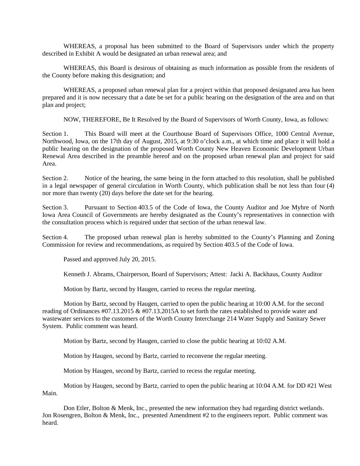WHEREAS, a proposal has been submitted to the Board of Supervisors under which the property described in Exhibit A would be designated an urban renewal area; and

WHEREAS, this Board is desirous of obtaining as much information as possible from the residents of the County before making this designation; and

WHEREAS, a proposed urban renewal plan for a project within that proposed designated area has been prepared and it is now necessary that a date be set for a public hearing on the designation of the area and on that plan and project;

NOW, THEREFORE, Be It Resolved by the Board of Supervisors of Worth County, Iowa, as follows:

Section 1. This Board will meet at the Courthouse Board of Supervisors Office, 1000 Central Avenue, Northwood, Iowa, on the 17th day of August, 2015, at 9:30 o'clock a.m., at which time and place it will hold a public hearing on the designation of the proposed Worth County New Heaven Economic Development Urban Renewal Area described in the preamble hereof and on the proposed urban renewal plan and project for said Area.

Section 2. Notice of the hearing, the same being in the form attached to this resolution, shall be published in a legal newspaper of general circulation in Worth County, which publication shall be not less than four (4) nor more than twenty (20) days before the date set for the hearing.

Section 3. Pursuant to Section 403.5 of the Code of Iowa, the County Auditor and Joe Myhre of North Iowa Area Council of Governments are hereby designated as the County's representatives in connection with the consultation process which is required under that section of the urban renewal law.

Section 4. The proposed urban renewal plan is hereby submitted to the County's Planning and Zoning Commission for review and recommendations, as required by Section 403.5 of the Code of Iowa.

Passed and approved July 20, 2015.

Kenneth J. Abrams, Chairperson, Board of Supervisors; Attest: Jacki A. Backhaus, County Auditor

Motion by Bartz, second by Haugen, carried to recess the regular meeting.

Motion by Bartz, second by Haugen, carried to open the public hearing at 10:00 A.M. for the second reading of Ordinances #07.13.2015 & #07.13.2015A to set forth the rates established to provide water and wastewater services to the customers of the Worth County Interchange 214 Water Supply and Sanitary Sewer System. Public comment was heard.

Motion by Bartz, second by Haugen, carried to close the public hearing at 10:02 A.M.

Motion by Haugen, second by Bartz, carried to reconvene the regular meeting.

Motion by Haugen, second by Bartz, carried to recess the regular meeting.

Motion by Haugen, second by Bartz, carried to open the public hearing at 10:04 A.M. for DD #21 West Main.

Don Etler, Bolton & Menk, Inc., presented the new information they had regarding district wetlands. Jon Rosengren, Bolton & Menk, Inc., presented Amendment #2 to the engineers report. Public comment was heard.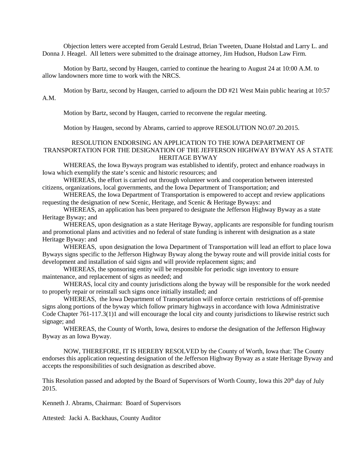Objection letters were accepted from Gerald Lestrud, Brian Tweeten, Duane Holstad and Larry L. and Donna J. Heagel. All letters were submitted to the drainage attorney, Jim Hudson, Hudson Law Firm.

Motion by Bartz, second by Haugen, carried to continue the hearing to August 24 at 10:00 A.M. to allow landowners more time to work with the NRCS.

Motion by Bartz, second by Haugen, carried to adjourn the DD #21 West Main public hearing at 10:57 A.M.

Motion by Bartz, second by Haugen, carried to reconvene the regular meeting.

Motion by Haugen, second by Abrams, carried to approve RESOLUTION NO.07.20.2015.

## RESOLUTION ENDORSING AN APPLICATION TO THE IOWA DEPARTMENT OF TRANSPORTATION FOR THE DESIGNATION OF THE JEFFERSON HIGHWAY BYWAY AS A STATE HERITAGE BYWAY

WHEREAS, the Iowa Byways program was established to identify, protect and enhance roadways in Iowa which exemplify the state's scenic and historic resources; and

WHEREAS, the effort is carried out through volunteer work and cooperation between interested citizens, organizations, local governments, and the Iowa Department of Transportation; and

WHEREAS, the Iowa Department of Transportation is empowered to accept and review applications requesting the designation of new Scenic, Heritage, and Scenic & Heritage Byways: and

WHEREAS, an application has been prepared to designate the Jefferson Highway Byway as a state Heritage Byway; and

WHEREAS, upon designation as a state Heritage Byway, applicants are responsible for funding tourism and promotional plans and activities and no federal of state funding is inherent with designation as a state Heritage Byway: and

WHEREAS, upon designation the Iowa Department of Transportation will lead an effort to place Iowa Byways signs specific to the Jefferson Highway Byway along the byway route and will provide initial costs for development and installation of said signs and will provide replacement signs; and

WHEREAS, the sponsoring entity will be responsible for periodic sign inventory to ensure maintenance, and replacement of signs as needed; and

WHERAS, local city and county jurisdictions along the byway will be responsible for the work needed to properly repair or reinstall such signs once initially installed; and

WHEREAS, the Iowa Department of Transportation will enforce certain restrictions of off-premise signs along portions of the byway which follow primary highways in accordance with Iowa Administrative Code Chapter 761-117.3(1)1 and will encourage the local city and county jurisdictions to likewise restrict such signage; and

WHEREAS, the County of Worth, Iowa, desires to endorse the designation of the Jefferson Highway Byway as an Iowa Byway.

NOW, THEREFORE, IT IS HEREBY RESOLVED by the County of Worth, Iowa that: The County endorses this application requesting designation of the Jefferson Highway Byway as a state Heritage Byway and accepts the responsibilities of such designation as described above.

This Resolution passed and adopted by the Board of Supervisors of Worth County, Iowa this 20<sup>th</sup> day of July 2015.

Kenneth J. Abrams, Chairman: Board of Supervisors

Attested: Jacki A. Backhaus, County Auditor